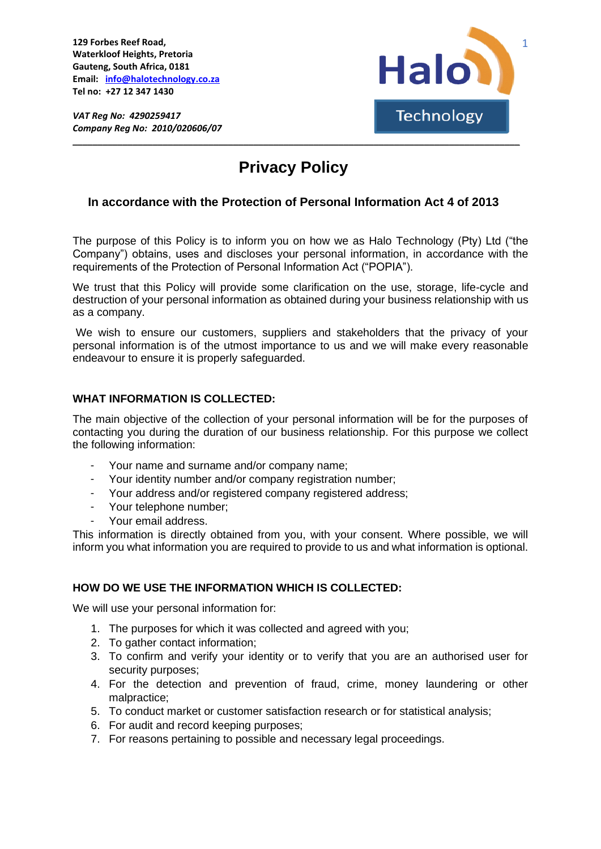**129 Forbes Reef Road, Waterkloof Heights, Pretoria Gauteng, South Africa, 0181 Email: [info@halotechnology.co.za](mailto:info@halotechnology.co.za) Tel no: +27 12 347 1430**

*VAT Reg No: 4290259417* *Company Reg No: 2010/020606/07*



# **Privacy Policy**

**\_\_\_\_\_\_\_\_\_\_\_\_\_\_\_\_\_\_\_\_\_\_\_\_\_\_\_\_\_\_\_\_\_\_\_\_\_\_\_\_\_\_\_\_\_\_\_\_\_\_\_\_\_\_\_\_\_\_\_\_\_\_\_\_\_\_\_\_\_\_\_\_\_\_\_\_\_\_\_\_\_\_\_\_\_\_\_\_\_**

## **In accordance with the Protection of Personal Information Act 4 of 2013**

The purpose of this Policy is to inform you on how we as Halo Technology (Pty) Ltd ("the Company") obtains, uses and discloses your personal information, in accordance with the requirements of the Protection of Personal Information Act ("POPIA").

We trust that this Policy will provide some clarification on the use, storage, life-cycle and destruction of your personal information as obtained during your business relationship with us as a company.

We wish to ensure our customers, suppliers and stakeholders that the privacy of your personal information is of the utmost importance to us and we will make every reasonable endeavour to ensure it is properly safeguarded.

### **WHAT INFORMATION IS COLLECTED:**

The main objective of the collection of your personal information will be for the purposes of contacting you during the duration of our business relationship. For this purpose we collect the following information:

- Your name and surname and/or company name;
- Your identity number and/or company registration number;
- Your address and/or registered company registered address;
- Your telephone number:
- Your email address.

This information is directly obtained from you, with your consent. Where possible, we will inform you what information you are required to provide to us and what information is optional.

## **HOW DO WE USE THE INFORMATION WHICH IS COLLECTED:**

We will use your personal information for:

- 1. The purposes for which it was collected and agreed with you;
- 2. To gather contact information;
- 3. To confirm and verify your identity or to verify that you are an authorised user for security purposes;
- 4. For the detection and prevention of fraud, crime, money laundering or other malpractice;
- 5. To conduct market or customer satisfaction research or for statistical analysis;
- 6. For audit and record keeping purposes;
- 7. For reasons pertaining to possible and necessary legal proceedings.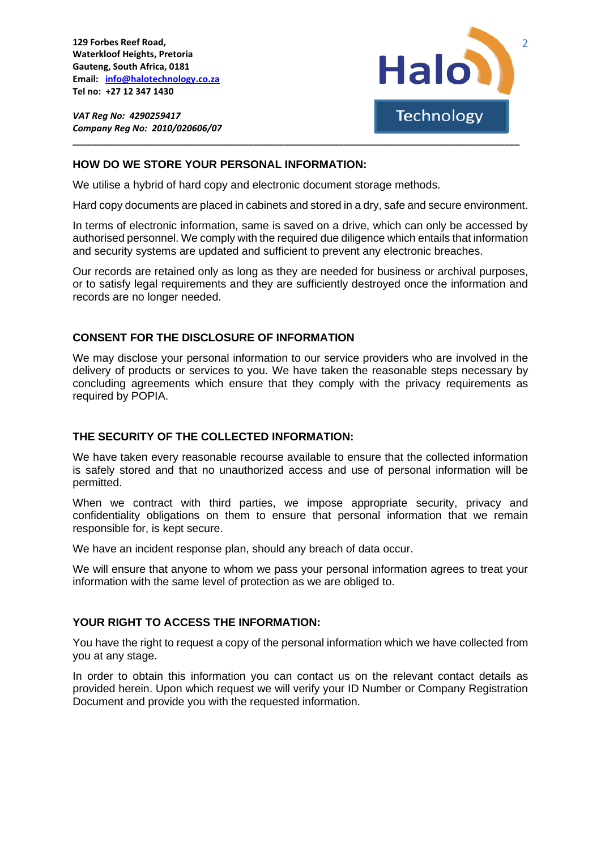**129 Forbes Reef Road, Waterkloof Heights, Pretoria Gauteng, South Africa, 0181 Email: [info@halotechnology.co.za](mailto:info@halotechnology.co.za) Tel no: +27 12 347 1430**

*VAT Reg No: 4290259417* *Company Reg No: 2010/020606/07*



#### **HOW DO WE STORE YOUR PERSONAL INFORMATION:**

We utilise a hybrid of hard copy and electronic document storage methods.

Hard copy documents are placed in cabinets and stored in a dry, safe and secure environment.

**\_\_\_\_\_\_\_\_\_\_\_\_\_\_\_\_\_\_\_\_\_\_\_\_\_\_\_\_\_\_\_\_\_\_\_\_\_\_\_\_\_\_\_\_\_\_\_\_\_\_\_\_\_\_\_\_\_\_\_\_\_\_\_\_\_\_\_\_\_\_\_\_\_\_\_\_\_\_\_\_\_\_\_\_\_\_\_\_\_**

In terms of electronic information, same is saved on a drive, which can only be accessed by authorised personnel. We comply with the required due diligence which entails that information and security systems are updated and sufficient to prevent any electronic breaches.

Our records are retained only as long as they are needed for business or archival purposes, or to satisfy legal requirements and they are sufficiently destroyed once the information and records are no longer needed.

#### **CONSENT FOR THE DISCLOSURE OF INFORMATION**

We may disclose your personal information to our service providers who are involved in the delivery of products or services to you. We have taken the reasonable steps necessary by concluding agreements which ensure that they comply with the privacy requirements as required by POPIA.

#### **THE SECURITY OF THE COLLECTED INFORMATION:**

We have taken every reasonable recourse available to ensure that the collected information is safely stored and that no unauthorized access and use of personal information will be permitted.

When we contract with third parties, we impose appropriate security, privacy and confidentiality obligations on them to ensure that personal information that we remain responsible for, is kept secure.

We have an incident response plan, should any breach of data occur.

We will ensure that anyone to whom we pass your personal information agrees to treat your information with the same level of protection as we are obliged to.

## **YOUR RIGHT TO ACCESS THE INFORMATION:**

You have the right to request a copy of the personal information which we have collected from you at any stage.

In order to obtain this information you can contact us on the relevant contact details as provided herein. Upon which request we will verify your ID Number or Company Registration Document and provide you with the requested information.